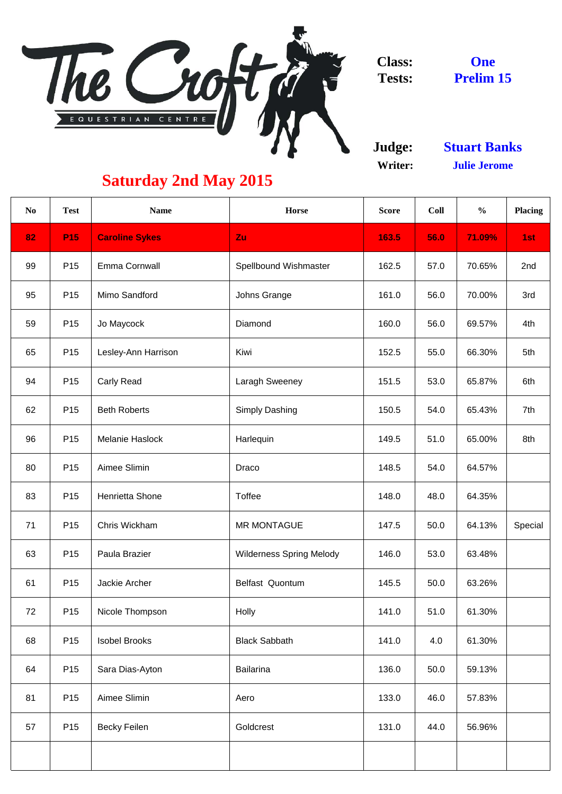

**Judge: Writer:**

| N <sub>0</sub> | <b>Test</b>     | <b>Name</b>           | <b>Horse</b>                    | <b>Score</b> | <b>Coll</b> | $\frac{0}{0}$ | <b>Placing</b> |
|----------------|-----------------|-----------------------|---------------------------------|--------------|-------------|---------------|----------------|
| 82             | <b>P15</b>      | <b>Caroline Sykes</b> | Zu                              | 163.5        | 56.0        | 71.09%        | 1st            |
| 99             | P <sub>15</sub> | <b>Emma Cornwall</b>  | <b>Spellbound Wishmaster</b>    | 162.5        | 57.0        | 70.65%        | 2nd            |
| 95             | P <sub>15</sub> | Mimo Sandford         | Johns Grange                    | 161.0        | 56.0        | 70.00%        | 3rd            |
| 59             | P <sub>15</sub> | Jo Maycock            | Diamond                         | 160.0        | 56.0        | 69.57%        | 4th            |
| 65             | P <sub>15</sub> | Lesley-Ann Harrison   | Kiwi                            | 152.5        | 55.0        | 66.30%        | 5th            |
| 94             | P <sub>15</sub> | <b>Carly Read</b>     | <b>Laragh Sweeney</b>           | 151.5        | 53.0        | 65.87%        | 6th            |
| 62             | P <sub>15</sub> | <b>Beth Roberts</b>   | <b>Simply Dashing</b>           | 150.5        | 54.0        | 65.43%        | 7th            |
| 96             | P <sub>15</sub> | Melanie Haslock       | Harlequin                       | 149.5        | 51.0        | 65.00%        | 8th            |
| 80             | P <sub>15</sub> | Aimee Slimin          | Draco                           | 148.5        | 54.0        | 64.57%        |                |
| 83             | P <sub>15</sub> | Henrietta Shone       | <b>Toffee</b>                   | 148.0        | 48.0        | 64.35%        |                |
| 71             | P <sub>15</sub> | Chris Wickham         | <b>MR MONTAGUE</b>              | 147.5        | 50.0        | 64.13%        | Special        |
| 63             | P <sub>15</sub> | Paula Brazier         | <b>Wilderness Spring Melody</b> | 146.0        | 53.0        | 63.48%        |                |
| 61             | P <sub>15</sub> | Jackie Archer         | <b>Belfast Quontum</b>          | 145.5        | 50.0        | 63.26%        |                |
| 72             | P <sub>15</sub> | Nicole Thompson       | Holly                           | 141.0        | 51.0        | 61.30%        |                |
| 68             | P <sub>15</sub> | <b>Isobel Brooks</b>  | <b>Black Sabbath</b>            | 141.0        | 4.0         | 61.30%        |                |
| 64             | P <sub>15</sub> | Sara Dias-Ayton       | <b>Bailarina</b>                | 136.0        | 50.0        | 59.13%        |                |
| 81             | P <sub>15</sub> | Aimee Slimin          | Aero                            | 133.0        | 46.0        | 57.83%        |                |
| 57             | P <sub>15</sub> | <b>Becky Feilen</b>   | Goldcrest                       | 131.0        | 44.0        | 56.96%        |                |
|                |                 |                       |                                 |              |             |               |                |

**One Prelim 15**

**Stuart Banks Julie Jerome**

## **Saturday 2nd May 2015**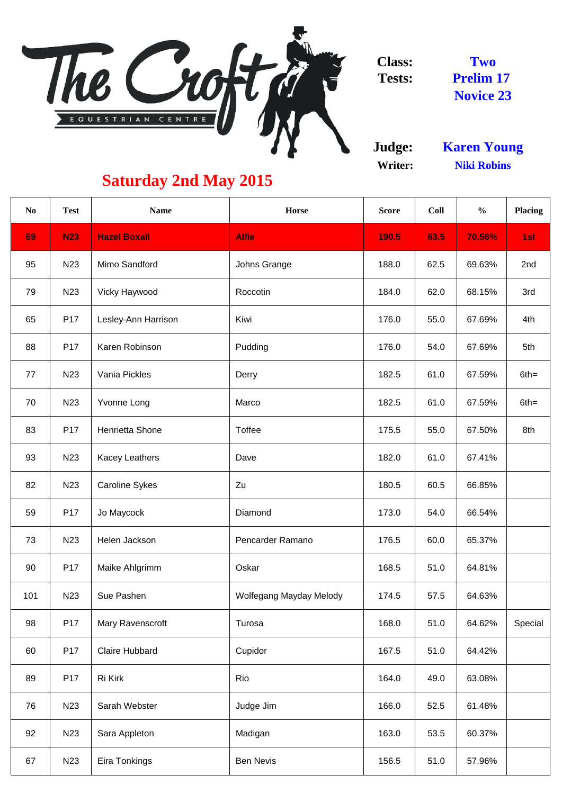

**Judge: Writer:**

| N <sub>0</sub> | <b>Test</b>     | <b>Name</b>             | Horse                   | <b>Score</b> | Coll | $\frac{0}{0}$ | <b>Placing</b> |
|----------------|-----------------|-------------------------|-------------------------|--------------|------|---------------|----------------|
| 69             | <b>N23</b>      | <b>Hazel Boxall</b>     | <b>Alfie</b>            | 190.5        | 63.5 | 70.56%        | 1st            |
| 95             | N <sub>23</sub> | Mimo Sandford           | Johns Grange            | 188.0        | 62.5 | 69.63%        | 2nd            |
| 79             | N <sub>23</sub> | <b>Vicky Haywood</b>    | Roccotin                | 184.0        | 62.0 | 68.15%        | 3rd            |
| 65             | P <sub>17</sub> | Lesley-Ann Harrison     | Kiwi                    | 176.0        | 55.0 | 67.69%        | 4th            |
| 88             | P <sub>17</sub> | Karen Robinson          | Pudding                 | 176.0        | 54.0 | 67.69%        | 5th            |
| 77             | N <sub>23</sub> | Vania Pickles           | Derry                   | 182.5        | 61.0 | 67.59%        | $6th =$        |
| 70             | N <sub>23</sub> | <b>Yvonne Long</b>      | Marco                   | 182.5        | 61.0 | 67.59%        | $6th =$        |
| 83             | P <sub>17</sub> | Henrietta Shone         | <b>Toffee</b>           | 175.5        | 55.0 | 67.50%        | 8th            |
| 93             | N <sub>23</sub> | <b>Kacey Leathers</b>   | Dave                    | 182.0        | 61.0 | 67.41%        |                |
| 82             | N <sub>23</sub> | <b>Caroline Sykes</b>   | Zu                      | 180.5        | 60.5 | 66.85%        |                |
| 59             | P <sub>17</sub> | Jo Maycock              | Diamond                 | 173.0        | 54.0 | 66.54%        |                |
| 73             | N <sub>23</sub> | Helen Jackson           | Pencarder Ramano        | 176.5        | 60.0 | 65.37%        |                |
| 90             | P <sub>17</sub> | Maike Ahlgrimm          | Oskar                   | 168.5        | 51.0 | 64.81%        |                |
| 101            | N <sub>23</sub> | Sue Pashen              | Wolfegang Mayday Melody | 174.5        | 57.5 | 64.63%        |                |
| 98             | P <sub>17</sub> | <b>Mary Ravenscroft</b> | Turosa                  | 168.0        | 51.0 | 64.62%        | Special        |
| 60             | P <sub>17</sub> | <b>Claire Hubbard</b>   | Cupidor                 | 167.5        | 51.0 | 64.42%        |                |
| 89             | P17             | Ri Kirk                 | Rio                     | 164.0        | 49.0 | 63.08%        |                |
| 76             | N <sub>23</sub> | Sarah Webster           | Judge Jim               | 166.0        | 52.5 | 61.48%        |                |
| 92             | N <sub>23</sub> | Sara Appleton           | Madigan                 | 163.0        | 53.5 | 60.37%        |                |
| 67             | N <sub>23</sub> | Eira Tonkings           | <b>Ben Nevis</b>        | 156.5        | 51.0 | 57.96%        |                |

**Two Prelim 17 Novice 23**

## **Saturday 2nd May 2015**

**Niki Robins Karen Young**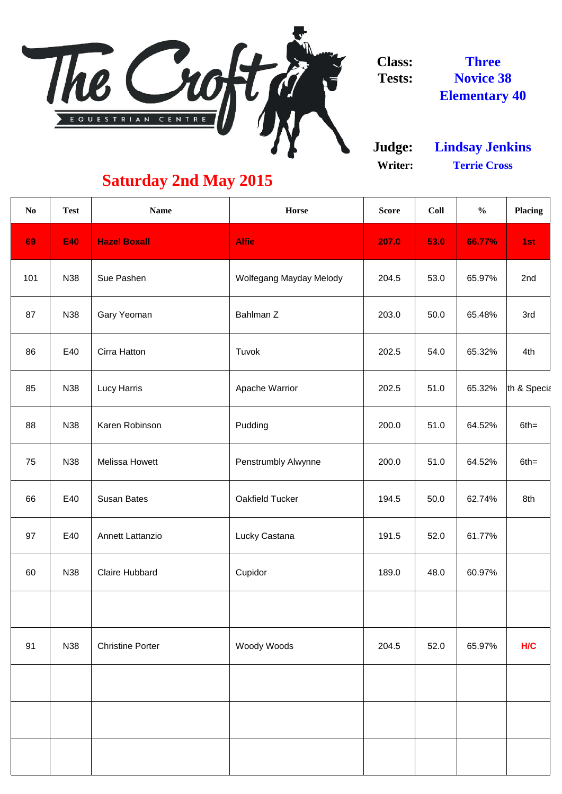

**Judge: Writer:**

| N <sub>0</sub> | <b>Test</b> | <b>Name</b>             | <b>Horse</b>               | <b>Score</b> | Coll | $\frac{0}{0}$ | <b>Placing</b> |
|----------------|-------------|-------------------------|----------------------------|--------------|------|---------------|----------------|
| 69             | <b>E40</b>  | <b>Hazel Boxall</b>     | <b>Alfie</b>               | 207.0        | 53.0 | 66.77%        | 1st            |
| 101            | <b>N38</b>  | Sue Pashen              | Wolfegang Mayday Melody    | 204.5        | 53.0 | 65.97%        | 2nd            |
| 87             | N38         | <b>Gary Yeoman</b>      | Bahlman Z                  | 203.0        | 50.0 | 65.48%        | 3rd            |
| 86             | E40         | Cirra Hatton            | Tuvok                      | 202.5        | 54.0 | 65.32%        | 4th            |
| 85             | N38         | <b>Lucy Harris</b>      | <b>Apache Warrior</b>      | 202.5        | 51.0 | 65.32%        | th & Specia    |
| 88             | <b>N38</b>  | Karen Robinson          | Pudding                    | 200.0        | 51.0 | 64.52%        | $6th =$        |
| 75             | <b>N38</b>  | <b>Melissa Howett</b>   | <b>Penstrumbly Alwynne</b> | 200.0        | 51.0 | 64.52%        | $6th =$        |
| 66             | E40         | <b>Susan Bates</b>      | Oakfield Tucker            | 194.5        | 50.0 | 62.74%        | 8th            |
| 97             | E40         | <b>Annett Lattanzio</b> | Lucky Castana              | 191.5        | 52.0 | 61.77%        |                |
| 60             | <b>N38</b>  | <b>Claire Hubbard</b>   | Cupidor                    | 189.0        | 48.0 | 60.97%        |                |
|                |             |                         |                            |              |      |               |                |
| 91             | <b>N38</b>  | <b>Christine Porter</b> | Woody Woods                | 204.5        | 52.0 | 65.97%        | <b>H/C</b>     |
|                |             |                         |                            |              |      |               |                |
|                |             |                         |                            |              |      |               |                |
|                |             |                         |                            |              |      |               |                |
|                |             |                         |                            |              |      |               |                |

**Terrie Cross Lindsay Jenkins**

**Three Novice 38 Elementary 40**

## **Saturday 2nd May 2015**